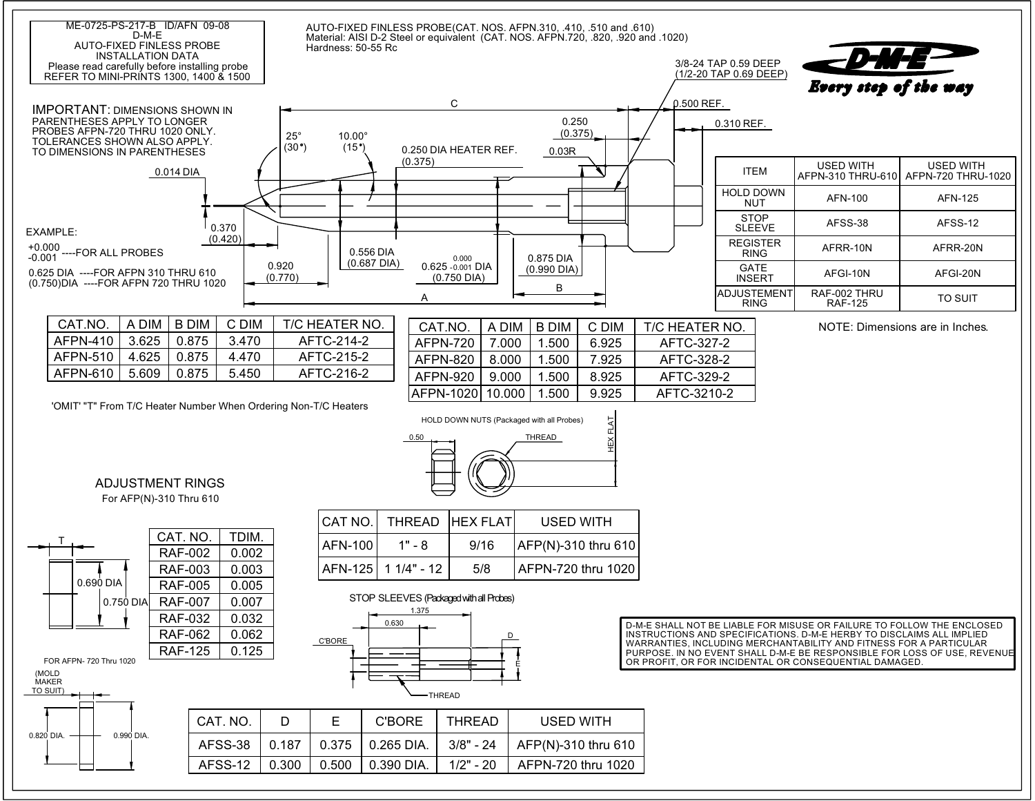